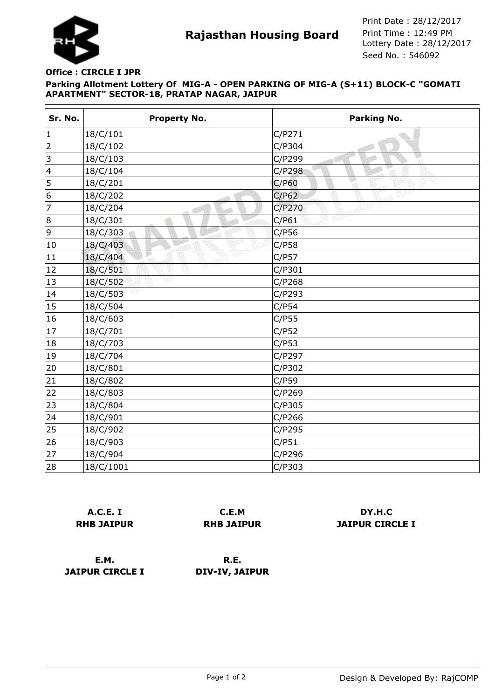

**Rajasthan Housing Board** Print Time : 12:49 PM<br>Lottery Date : 28/12/2017 Seed No. : 546092 Print Date : 28/12/2017 Print Time : 12:49 PM

## **Parking Allotment Lottery Of MIG-A - OPEN PARKING OF MIG-A (S+11) BLOCK-C "GOMATI APARTMENT" SECTOR-18, PRATAP NAGAR, JAIPUR Office : CIRCLE I JPR**

| Sr. No.        | <b>Property No.</b> | Parking No. |
|----------------|---------------------|-------------|
| $\vert$ 1      | 18/C/101            | C/P271      |
| $\overline{2}$ | 18/C/102            | C/P304      |
| $\vert$ 3      | 18/C/103            | C/P299<br>ा |
| $\vert 4$      | 18/C/104            | C/P298      |
| 5              | 18/C/201            | C/P60       |
| 6              | 18/C/202            | C/P62       |
| 7              | 18/C/204            | C/P270      |
| 8              | 18/C/301            | C/P61       |
| 9              | 18/C/303            | C/P56       |
| 10             | 18/C/403            | C/P58       |
| 11             | 18/C/404            | C/P57       |
| 12             | v<br>18/C/501       | C/P301      |
| 13             | 18/C/502            | C/P268      |
| 14             | 18/C/503            | C/P293      |
| 15             | 18/C/504            | C/P54       |
| 16             | 18/C/603            | C/P55       |
| 17             | 18/C/701            | C/P52       |
| 18             | 18/C/703            | C/P53       |
| 19             | 18/C/704            | C/P297      |
| 20             | 18/C/801            | C/P302      |
| 21             | 18/C/802            | C/P59       |
| 22             | 18/C/803            | C/P269      |
| 23             | 18/C/804            | C/P305      |
| 24             | 18/C/901            | C/P266      |
| 25             | 18/C/902            | C/P295      |
| 26             | 18/C/903            | C/P51       |
| 27             | 18/C/904            | C/P296      |
| 28             | 18/C/1001           | C/P303      |

|                   | A.C.E. I |  |
|-------------------|----------|--|
| <b>RHB JAIPUR</b> |          |  |

**C.E.M RHB JAIPUR**

**DY.H.C JAIPUR CIRCLE I**

**E.M. JAIPUR CIRCLE I**

**R.E. DIV-IV, JAIPUR**